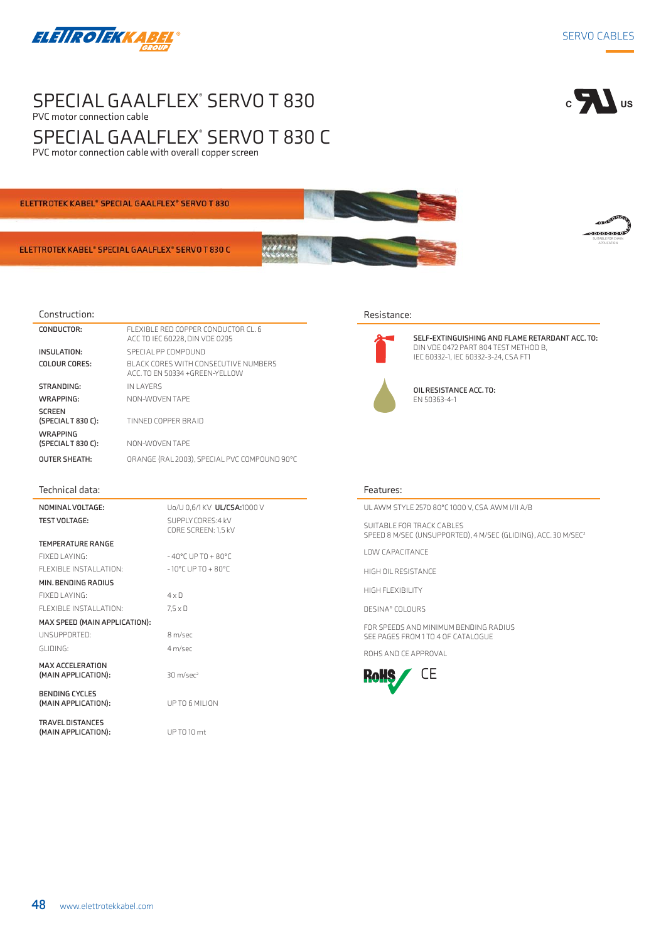

# SPECIAL GAALFLEX<sup>®</sup> SERVO T 830 PVC motor connection cable SPECIAL GAALFLEX° SERVO T 830 C





ELETTROTEK KABEL® SPECIAL GAALFLEX® SERVO T 830 C

### Construction:

| CONDUCTOR:                           | FLEXIBLE RED COPPER CONDUCTOR CL. 6<br>ACC TO IEC 60228, DIN VDE 0295  |
|--------------------------------------|------------------------------------------------------------------------|
| INSULATION:                          | SPECIAL PP COMPOUND                                                    |
| COLOUR CORES:                        | BLACK CORES WITH CONSECUTIVE NUMBERS<br>ACC. TO EN 50334 +GREEN-YELLOW |
| STRANDING:                           | IN LAYFRS                                                              |
| WRAPPING:                            | NON-WOVEN TAPE                                                         |
| <b>SCREEN</b><br>(SPECIALT 830 C):   | TINNED COPPER BRAID                                                    |
| <b>WRAPPING</b><br>(SPECIALT 830 C): | NON-WOVEN TAPE                                                         |
| <b>OUTER SHEATH:</b>                 | ORANGE (RAL 2003). SPECIAL PVC COMPOUND 90°C                           |

#### Technical data:

**NOMINAL VOLTAGE:** Uo/U 0,6/1 KV **UL/CSA:**1000 V **TEST VOLTAGE:** 

**MIN. BENDING RADIUS**

| <b>TEST VOLTAGE:</b>   | SUPPLY CORES: 4 kV<br>CORE SCREEN: 1.5 kV |
|------------------------|-------------------------------------------|
| TEMPERATURE RANGE      |                                           |
| FIXED LAYING:          | $-40^{\circ}$ C UP TO + 80°C              |
| FLEXIBLE INSTALLATION: | $-10^{\circ}$ C UP TO + 80°C              |

FIXED LAYING: 4 x D FLEXIBLE INSTALLATION: 7,5 x D

**MAX SPEED (MAIN APPLICATION):** UNSUPPORTED: 8 m/sec

GLIDING: 4 m/sec

**(MAIN APPLICATION):** 30 m/sec<sup>2</sup>

**BENDING CYCLES (MAIN APPLICATION):** UP TO 6 MILION

**TRAVEL DISTANCES (MAIN APPLICATION):** UP TO 10 mt

**MAX ACCELERATION** 

 $c \sqrt{1}$  us

SUITABLE FOR CHAIN **APPLICATION** 



#### Resistance:



**SELF-EXTINGUISHING AND FLAME RETARDANT ACC. TO:**  DIN VDE 0472 PART 804 TEST METHOD B, IEC 60332-1, IEC 60332-3-24, CSA FT1

**OIL RESISTANCE ACC. TO:**  EN 50363-4-1

#### Features:

UL AWM STYLE 2570 80°C 1000 V, CSA AWM I/II A/B

SUITABLE FOR TRACK CABLES SPEED 8 M/SEC (UNSUPPORTED), 4 M/SEC (GLIDING), ACC. 30 M/SEC2

LOW CAPACITANCE

HIGH OIL RESISTANCE

HIGH FLEXIBILITY

DESINA® COLOURS

FOR SPEEDS AND MINIMUM BENDING RADIUS SEE PAGES FROM 1 TO 4 OF CATALOGUE

ROHS AND CE APPROVAL

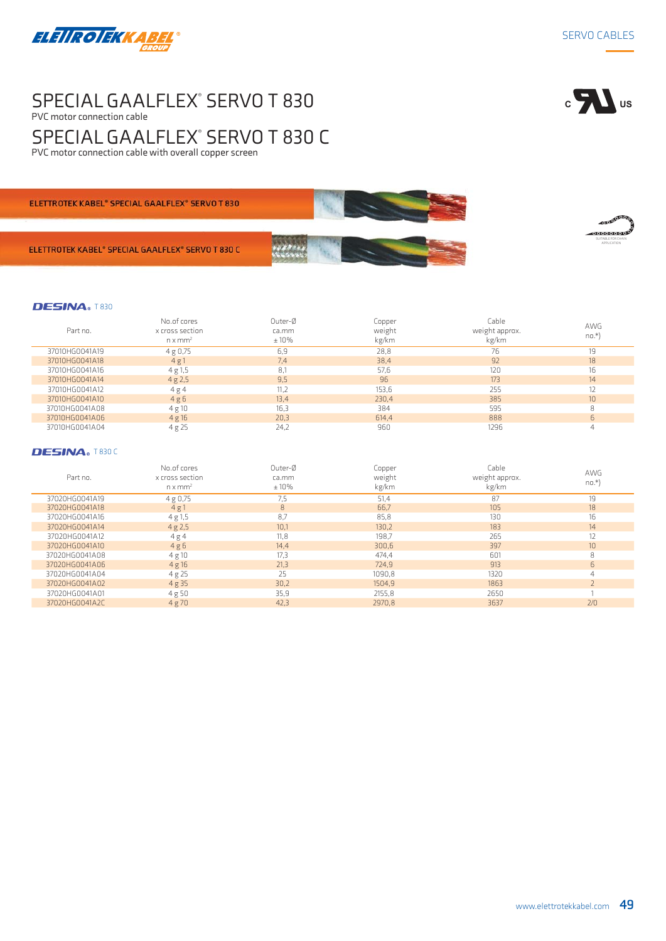

# SPECIAL GAALFLEX<sup>®</sup> SERVO T 830 PVC motor connection cable SPECIAL GAALFLEX<sup>®</sup> SERVO T 830 C PVC motor connection cable with overall copper screen



SUITABLE FOR CHAIN APPLICATION

ELETTROTEK KABEL<sup>®</sup> SPECIAL GAALFLEX<sup>®</sup> SERVO T 830

ELETTROTEK KABEL® SPECIAL GAALFLEX® SERVO T 830 C

## DESINA® T830

| Part no.       | No.of cores<br>x cross section<br>$n \times mm2$ | Outer-Ø<br>ca.mm<br>$±10\%$ | Copper<br>weight<br>kg/km | Cable<br>weight approx.<br>kg/km | <b>AWG</b><br>$no.*$ |
|----------------|--------------------------------------------------|-----------------------------|---------------------------|----------------------------------|----------------------|
| 37010HG0041A19 | 4 g 0,75                                         | 6,9                         | 28,8                      | 76                               | 19                   |
| 37010HG0041A18 | 4g1                                              | 7.4                         | 38,4                      | 92                               | 18                   |
| 37010HG0041A16 | 4 g 1, 5                                         | 8,1                         | 57,6                      | 120                              | 16                   |
| 37010HG0041A14 | 4g2,5                                            | 9.5                         | 96                        | 173                              | 14                   |
| 37010HG0041A12 | 4g4                                              | 11.2                        | 153,6                     | 255                              | 12                   |
| 37010HG0041A10 | 4g6                                              | 13.4                        | 230,4                     | 385                              | 10                   |
| 37010HG0041A08 | 4 g 10                                           | 16.3                        | 384                       | 595                              | R                    |
| 37010HG0041A06 | 4g16                                             | 20.3                        | 614.4                     | 888                              | 6                    |
| 37010HG0041A04 | 4 g 25                                           | 24,2                        | 960                       | 1296                             |                      |

### DESINA® T830 C

| Part no.       | No.of cores<br>x cross section<br>$n \times mm^2$ | Outer-Ø<br>ca.mm<br>$±10\%$ | Copper<br>weight<br>kg/km | Cable<br>weight approx.<br>kg/km | <b>AWG</b><br>$no.*)$ |
|----------------|---------------------------------------------------|-----------------------------|---------------------------|----------------------------------|-----------------------|
| 37020HG0041A19 | 4 g 0,75                                          | 7.5                         | 51,4                      | 87                               | 19                    |
| 37020HG0041A18 | 4g1                                               | 8                           | 66,7                      | 105                              | 18                    |
| 37020HG0041A16 | 4 g 1, 5                                          | 8,7                         | 85,8                      | 130                              | 16                    |
| 37020HG0041A14 | 4g2,5                                             | 10.1                        | 130,2                     | 183                              | 14                    |
| 37020HG0041A12 | 4g4                                               | 11,8                        | 198,7                     | 265                              | 12                    |
| 37020HG0041A10 | 4g6                                               | 14, 4                       | 300,6                     | 397                              | 10 <sup>10</sup>      |
| 37020HG0041A08 | 4 g 10                                            | 17,3                        | 474,4                     | 601                              | 8                     |
| 37020HG0041A06 | 4g16                                              | 21,3                        | 724,9                     | 913                              | 6                     |
| 37020HG0041A04 | 4 g 25                                            | 25                          | 1090,8                    | 1320                             | 4                     |
| 37020HG0041A02 | 4g35                                              | 30,2                        | 1504.9                    | 1863                             |                       |
| 37020HG0041A01 | 4g50                                              | 35,9                        | 2155,8                    | 2650                             |                       |
| 37020HG0041A2C | 4g70                                              | 42,3                        | 2970.8                    | 3637                             | 2/0                   |